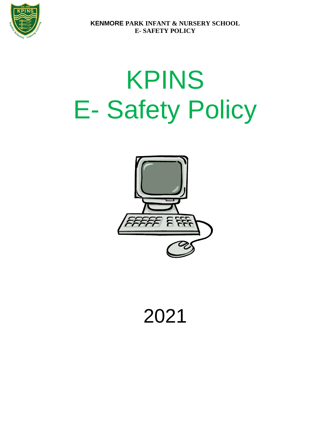

# KPINS E- Safety Policy



2021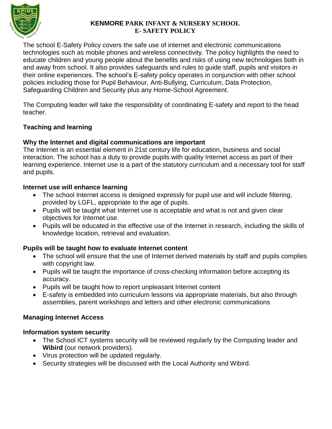

The school E-Safety Policy covers the safe use of internet and electronic communications technologies such as mobile phones and wireless connectivity. The policy highlights the need to educate children and young people about the benefits and risks of using new technologies both in and away from school. It also provides safeguards and rules to guide staff, pupils and visitors in their online experiences. The school's E-safety policy operates in conjunction with other school policies including those for Pupil Behaviour, Anti-Bullying, Curriculum, Data Protection, Safeguarding Children and Security plus any Home-School Agreement.

The Computing leader will take the responsibility of coordinating E-safety and report to the head teacher.

# **Teaching and learning**

#### **Why the Internet and digital communications are important**

The Internet is an essential element in 21st century life for education, business and social interaction. The school has a duty to provide pupils with quality Internet access as part of their learning experience. Internet use is a part of the statutory curriculum and a necessary tool for staff and pupils.

#### **Internet use will enhance learning**

- The school Internet access is designed expressly for pupil use and will include filtering, provided by LGFL, appropriate to the age of pupils.
- Pupils will be taught what Internet use is acceptable and what is not and given clear objectives for Internet use.
- Pupils will be educated in the effective use of the Internet in research, including the skills of knowledge location, retrieval and evaluation.

#### **Pupils will be taught how to evaluate Internet content**

- The school will ensure that the use of Internet derived materials by staff and pupils complies with copyright law.
- Pupils will be taught the importance of cross-checking information before accepting its accuracy.
- Pupils will be taught how to report unpleasant Internet content
- E-safety is embedded into curriculum lessons via appropriate materials, but also through assemblies, parent workshops and letters and other electronic communications

# **Managing Internet Access**

#### **Information system security**

- The School ICT systems security will be reviewed regularly by the Computing leader and **Wibird** (our network providers).
- Virus protection will be updated regularly.
- Security strategies will be discussed with the Local Authority and Wibird.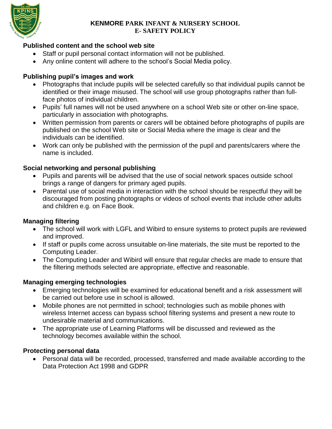

# **Published content and the school web site**

- Staff or pupil personal contact information will not be published.
- Any online content will adhere to the school's Social Media policy.

# **Publishing pupil's images and work**

- Photographs that include pupils will be selected carefully so that individual pupils cannot be identified or their image misused. The school will use group photographs rather than fullface photos of individual children.
- Pupils' full names will not be used anywhere on a school Web site or other on-line space, particularly in association with photographs.
- Written permission from parents or carers will be obtained before photographs of pupils are published on the school Web site or Social Media where the image is clear and the individuals can be identified.
- Work can only be published with the permission of the pupil and parents/carers where the name is included.

# **Social networking and personal publishing**

- Pupils and parents will be advised that the use of social network spaces outside school brings a range of dangers for primary aged pupils.
- Parental use of social media in interaction with the school should be respectful they will be discouraged from posting photographs or videos of school events that include other adults and children e.g. on Face Book.

# **Managing filtering**

- The school will work with LGFL and Wibird to ensure systems to protect pupils are reviewed and improved.
- If staff or pupils come across unsuitable on-line materials, the site must be reported to the Computing Leader.
- The Computing Leader and Wibird will ensure that regular checks are made to ensure that the filtering methods selected are appropriate, effective and reasonable.

# **Managing emerging technologies**

- Emerging technologies will be examined for educational benefit and a risk assessment will be carried out before use in school is allowed.
- Mobile phones are not permitted in school; technologies such as mobile phones with wireless Internet access can bypass school filtering systems and present a new route to undesirable material and communications.
- The appropriate use of Learning Platforms will be discussed and reviewed as the technology becomes available within the school.

# **Protecting personal data**

 Personal data will be recorded, processed, transferred and made available according to the Data Protection Act 1998 and GDPR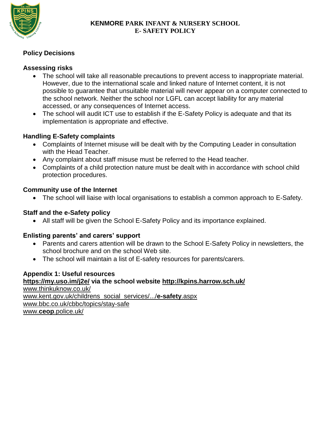

# **Policy Decisions**

#### **Assessing risks**

- The school will take all reasonable precautions to prevent access to inappropriate material. However, due to the international scale and linked nature of Internet content, it is not possible to guarantee that unsuitable material will never appear on a computer connected to the school network. Neither the school nor LGFL can accept liability for any material accessed, or any consequences of Internet access.
- The school will audit ICT use to establish if the E-Safety Policy is adequate and that its implementation is appropriate and effective.

#### **Handling E-Safety complaints**

- Complaints of Internet misuse will be dealt with by the Computing Leader in consultation with the Head Teacher.
- Any complaint about staff misuse must be referred to the Head teacher.
- Complaints of a child protection nature must be dealt with in accordance with school child protection procedures.

#### **Community use of the Internet**

The school will liaise with local organisations to establish a common approach to E-Safety.

#### **Staff and the e-Safety policy**

All staff will be given the School E-Safety Policy and its importance explained.

# **Enlisting parents' and carers' support**

- Parents and carers attention will be drawn to the School E-Safety Policy in newsletters, the school brochure and on the school Web site.
- The school will maintain a list of E-safety resources for parents/carers.

# **Appendix 1: Useful resources**

**<https://my.uso.im/j2e/> via the school website<http://kpins.harrow.sch.uk/>** [www.thinkuknow.co.uk/](http://www.thinkuknow.co.uk/) [www.kent.gov.uk/childrens\\_social\\_services/.../](http://www.kent.gov.uk/childrens_social_services/.../e-safety.aspx)**e-safety**.aspx [www.bbc.co.uk/cbbc/topics/stay-safe](http://www.bbc.co.uk/cbbc/topics/stay-safe) www.**ceop**[.police.uk/](http://www.ceop.police.uk/)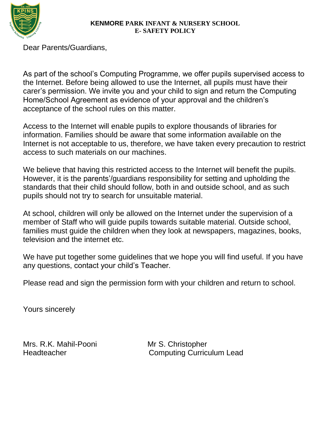

Dear Parents/Guardians,

As part of the school's Computing Programme, we offer pupils supervised access to the Internet. Before being allowed to use the Internet, all pupils must have their carer's permission. We invite you and your child to sign and return the Computing Home/School Agreement as evidence of your approval and the children's acceptance of the school rules on this matter.

Access to the Internet will enable pupils to explore thousands of libraries for information. Families should be aware that some information available on the Internet is not acceptable to us, therefore, we have taken every precaution to restrict access to such materials on our machines.

We believe that having this restricted access to the Internet will benefit the pupils. However, it is the parents'/guardians responsibility for setting and upholding the standards that their child should follow, both in and outside school, and as such pupils should not try to search for unsuitable material.

At school, children will only be allowed on the Internet under the supervision of a member of Staff who will guide pupils towards suitable material. Outside school, families must guide the children when they look at newspapers, magazines, books, television and the internet etc.

We have put together some guidelines that we hope you will find useful. If you have any questions, contact your child's Teacher.

Please read and sign the permission form with your children and return to school.

Yours sincerely

Mrs. R.K. Mahil-Pooni Mr S. Christopher

Headteacher **Computing Curriculum Lead**